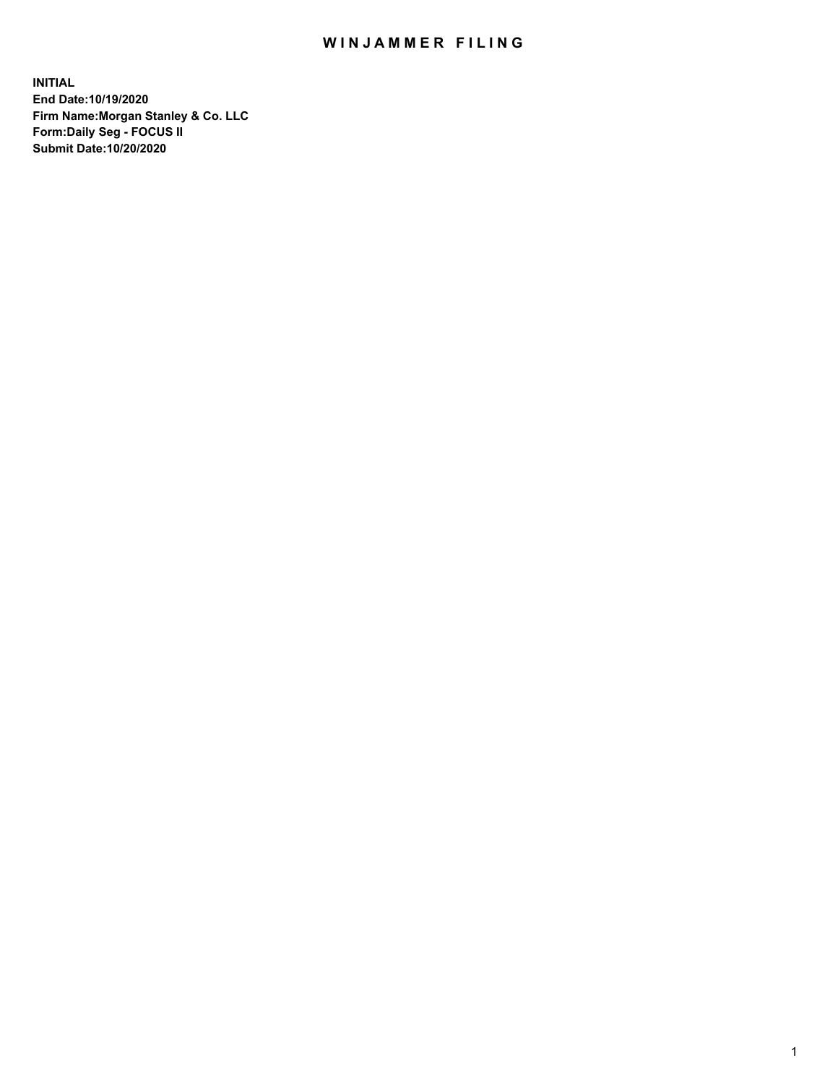## WIN JAMMER FILING

**INITIAL End Date:10/19/2020 Firm Name:Morgan Stanley & Co. LLC Form:Daily Seg - FOCUS II Submit Date:10/20/2020**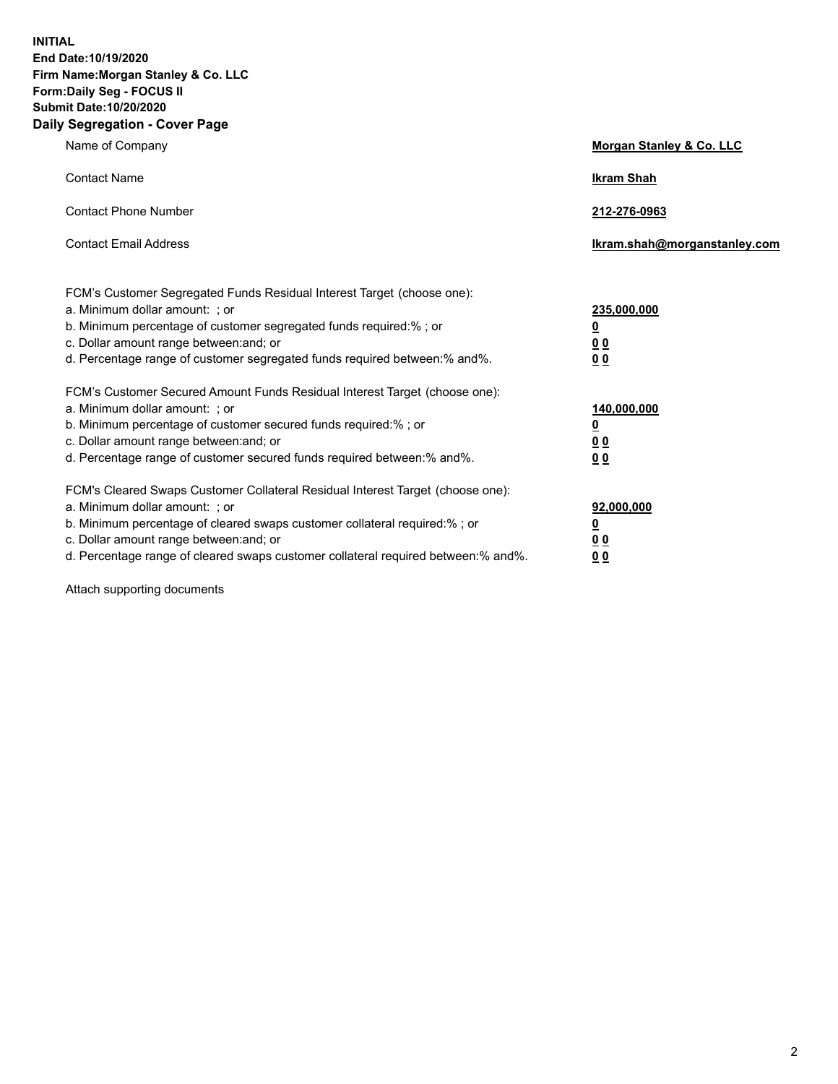**INITIAL End Date:10/19/2020 Firm Name:Morgan Stanley & Co. LLC Form:Daily Seg - FOCUS II Submit Date:10/20/2020 Daily Segregation - Cover Page**

| Name of Company                                                                                                                                                                                                                                                                                                                | Morgan Stanley & Co. LLC                                    |
|--------------------------------------------------------------------------------------------------------------------------------------------------------------------------------------------------------------------------------------------------------------------------------------------------------------------------------|-------------------------------------------------------------|
| <b>Contact Name</b>                                                                                                                                                                                                                                                                                                            | <b>Ikram Shah</b>                                           |
| <b>Contact Phone Number</b>                                                                                                                                                                                                                                                                                                    | 212-276-0963                                                |
| <b>Contact Email Address</b>                                                                                                                                                                                                                                                                                                   | lkram.shah@morganstanley.com                                |
| FCM's Customer Segregated Funds Residual Interest Target (choose one):<br>a. Minimum dollar amount: ; or<br>b. Minimum percentage of customer segregated funds required:% ; or<br>c. Dollar amount range between: and; or<br>d. Percentage range of customer segregated funds required between:% and%.                         | 235,000,000<br><u>0</u><br><u>00</u><br>0 <sub>0</sub>      |
| FCM's Customer Secured Amount Funds Residual Interest Target (choose one):<br>a. Minimum dollar amount: ; or<br>b. Minimum percentage of customer secured funds required:% ; or<br>c. Dollar amount range between: and; or<br>d. Percentage range of customer secured funds required between:% and%.                           | 140,000,000<br><u>0</u><br>0 <sub>0</sub><br>0 <sub>0</sub> |
| FCM's Cleared Swaps Customer Collateral Residual Interest Target (choose one):<br>a. Minimum dollar amount: ; or<br>b. Minimum percentage of cleared swaps customer collateral required:% ; or<br>c. Dollar amount range between: and; or<br>d. Percentage range of cleared swaps customer collateral required between:% and%. | 92,000,000<br><u>0</u><br><u>00</u><br>00                   |

Attach supporting documents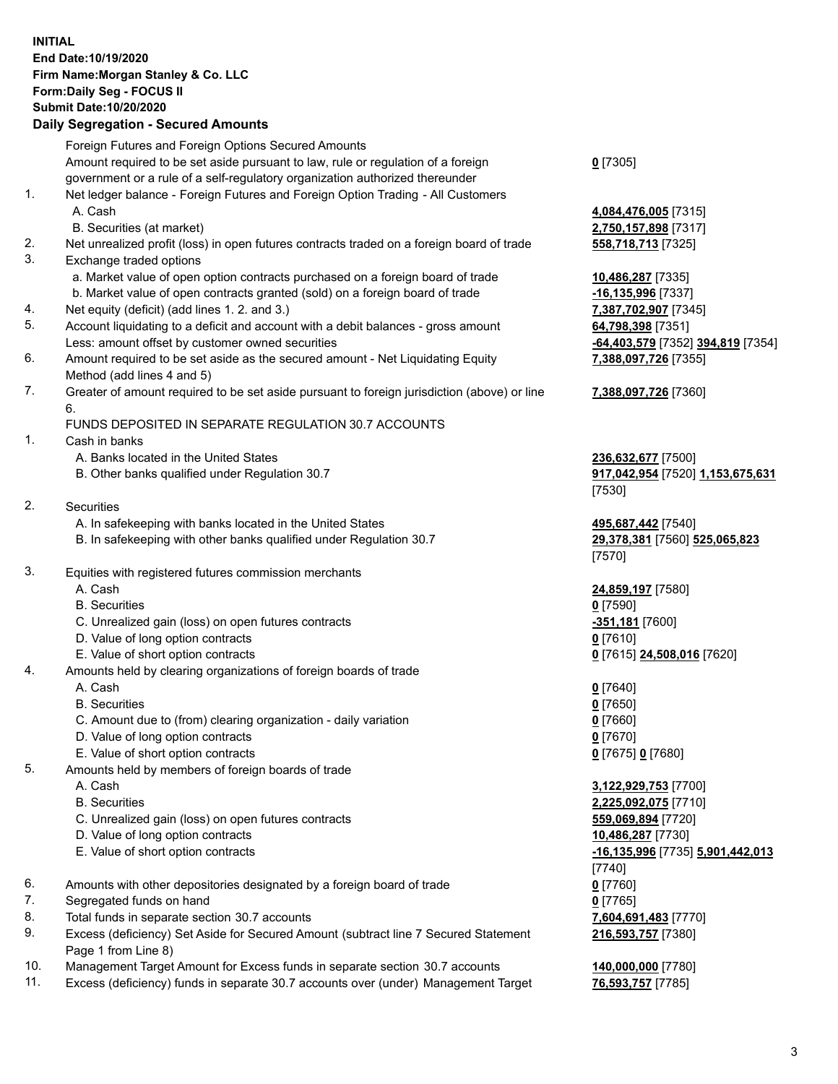## **INITIAL End Date:10/19/2020 Firm Name:Morgan Stanley & Co. LLC Form:Daily Seg - FOCUS II Submit Date:10/20/2020**

## **Daily Segregation - Secured Amounts**

Foreign Futures and Foreign Options Secured Amounts Amount required to be set aside pursuant to law, rule or regulation of a foreign government or a rule of a self-regulatory organization authorized thereunder 1. Net ledger balance - Foreign Futures and Foreign Option Trading - All Customers A. Cash **4,084,476,005** [7315] B. Securities (at market) **2,750,157,898** [7317] 2. Net unrealized profit (loss) in open futures contracts traded on a foreign board of trade **558,718,713** [7325] 3. Exchange traded options a. Market value of open option contracts purchased on a foreign board of trade **10,486,287** [7335] b. Market value of open contracts granted (sold) on a foreign board of trade **-16,135,996** [7337] 4. Net equity (deficit) (add lines 1. 2. and 3.) **7,387,702,907** [7345] 5. Account liquidating to a deficit and account with a debit balances - gross amount **64,798,398** [7351] Less: amount offset by customer owned securities **-64,403,579** [7352] **394,819** [7354] 6. Amount required to be set aside as the secured amount - Net Liquidating Equity Method (add lines 4 and 5) 7. Greater of amount required to be set aside pursuant to foreign jurisdiction (above) or line 6. FUNDS DEPOSITED IN SEPARATE REGULATION 30.7 ACCOUNTS 1. Cash in banks A. Banks located in the United States **236,632,677** [7500] B. Other banks qualified under Regulation 30.7 **917,042,954** [7520] **1,153,675,631** 2. Securities A. In safekeeping with banks located in the United States **495,687,442** [7540] B. In safekeeping with other banks qualified under Regulation 30.7 **29,378,381** [7560] **525,065,823** 3. Equities with registered futures commission merchants A. Cash **24,859,197** [7580] B. Securities **0** [7590] C. Unrealized gain (loss) on open futures contracts **-351,181** [7600] D. Value of long option contracts **0** [7610] E. Value of short option contracts **0** [7615] **24,508,016** [7620] 4. Amounts held by clearing organizations of foreign boards of trade A. Cash **0** [7640] B. Securities **0** [7650] C. Amount due to (from) clearing organization - daily variation **0** [7660] D. Value of long option contracts **0** [7670] E. Value of short option contracts **0** [7675] **0** [7680] 5. Amounts held by members of foreign boards of trade A. Cash **3,122,929,753** [7700] B. Securities **2,225,092,075** [7710] C. Unrealized gain (loss) on open futures contracts **559,069,894** [7720] D. Value of long option contracts **10,486,287** [7730] E. Value of short option contracts **-16,135,996** [7735] **5,901,442,013** 6. Amounts with other depositories designated by a foreign board of trade **0** [7760] 7. Segregated funds on hand **0** [7765] 8. Total funds in separate section 30.7 accounts **7,604,691,483** [7770] 9. Excess (deficiency) Set Aside for Secured Amount (subtract line 7 Secured Statement

- Page 1 from Line 8) 10. Management Target Amount for Excess funds in separate section 30.7 accounts **140,000,000** [7780]
- 

11. Excess (deficiency) funds in separate 30.7 accounts over (under) Management Target **76,593,757** [7785]

**0** [7305]

**7,388,097,726** [7355]

## **7,388,097,726** [7360]

[7530]

[7570]

[7740] **216,593,757** [7380]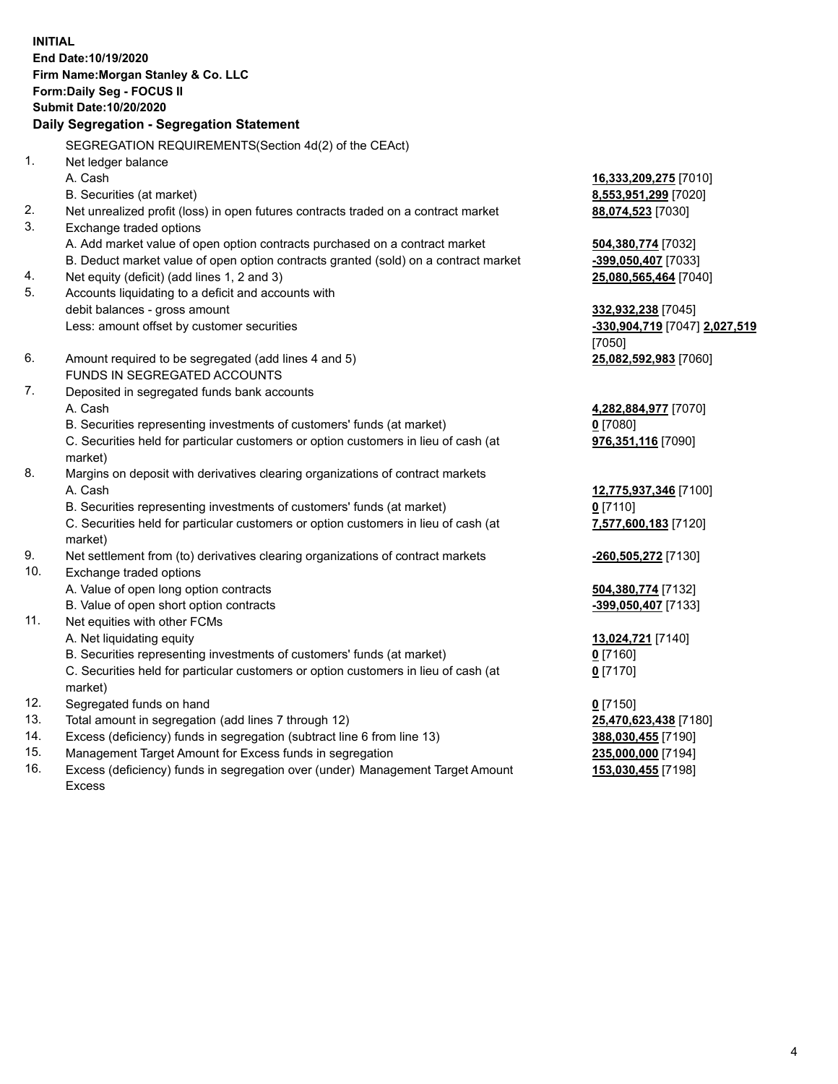**INITIAL End Date:10/19/2020 Firm Name:Morgan Stanley & Co. LLC Form:Daily Seg - FOCUS II Submit Date:10/20/2020 Daily Segregation - Segregation Statement** SEGREGATION REQUIREMENTS(Section 4d(2) of the CEAct) 1. Net ledger balance A. Cash **16,333,209,275** [7010] B. Securities (at market) **8,553,951,299** [7020] 2. Net unrealized profit (loss) in open futures contracts traded on a contract market **88,074,523** [7030] 3. Exchange traded options A. Add market value of open option contracts purchased on a contract market **504,380,774** [7032] B. Deduct market value of open option contracts granted (sold) on a contract market **-399,050,407** [7033] 4. Net equity (deficit) (add lines 1, 2 and 3) **25,080,565,464** [7040] 5. Accounts liquidating to a deficit and accounts with debit balances - gross amount **332,932,238** [7045] Less: amount offset by customer securities **-330,904,719** [7047] **2,027,519** [7050] 6. Amount required to be segregated (add lines 4 and 5) **25,082,592,983** [7060] FUNDS IN SEGREGATED ACCOUNTS 7. Deposited in segregated funds bank accounts A. Cash **4,282,884,977** [7070] B. Securities representing investments of customers' funds (at market) **0** [7080] C. Securities held for particular customers or option customers in lieu of cash (at market) **976,351,116** [7090] 8. Margins on deposit with derivatives clearing organizations of contract markets A. Cash **12,775,937,346** [7100] B. Securities representing investments of customers' funds (at market) **0** [7110] C. Securities held for particular customers or option customers in lieu of cash (at market) **7,577,600,183** [7120] 9. Net settlement from (to) derivatives clearing organizations of contract markets **-260,505,272** [7130] 10. Exchange traded options A. Value of open long option contracts **504,380,774** [7132] B. Value of open short option contracts **-399,050,407** [7133] 11. Net equities with other FCMs A. Net liquidating equity **13,024,721** [7140] B. Securities representing investments of customers' funds (at market) **0** [7160] C. Securities held for particular customers or option customers in lieu of cash (at market) **0** [7170] 12. Segregated funds on hand **0** [7150] 13. Total amount in segregation (add lines 7 through 12) **25,470,623,438** [7180] 14. Excess (deficiency) funds in segregation (subtract line 6 from line 13) **388,030,455** [7190]

- 15. Management Target Amount for Excess funds in segregation **235,000,000** [7194]
- 16. Excess (deficiency) funds in segregation over (under) Management Target Amount Excess

**153,030,455** [7198]